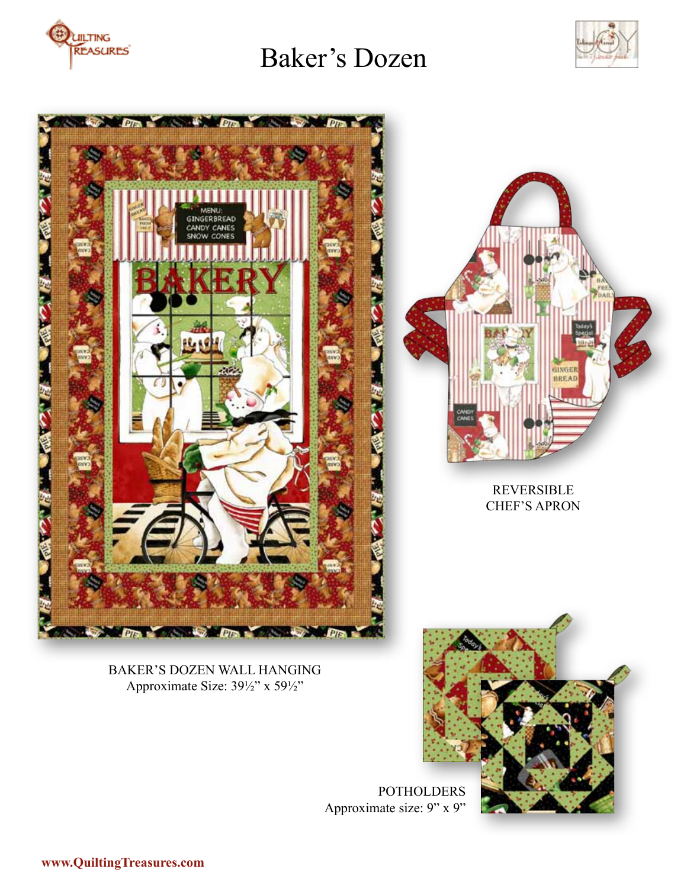





BAKER'S DOZEN WALL HANGING Approximate Size: 39½" x 59½"



POTHOLDERS Approximate size: 9" x 9"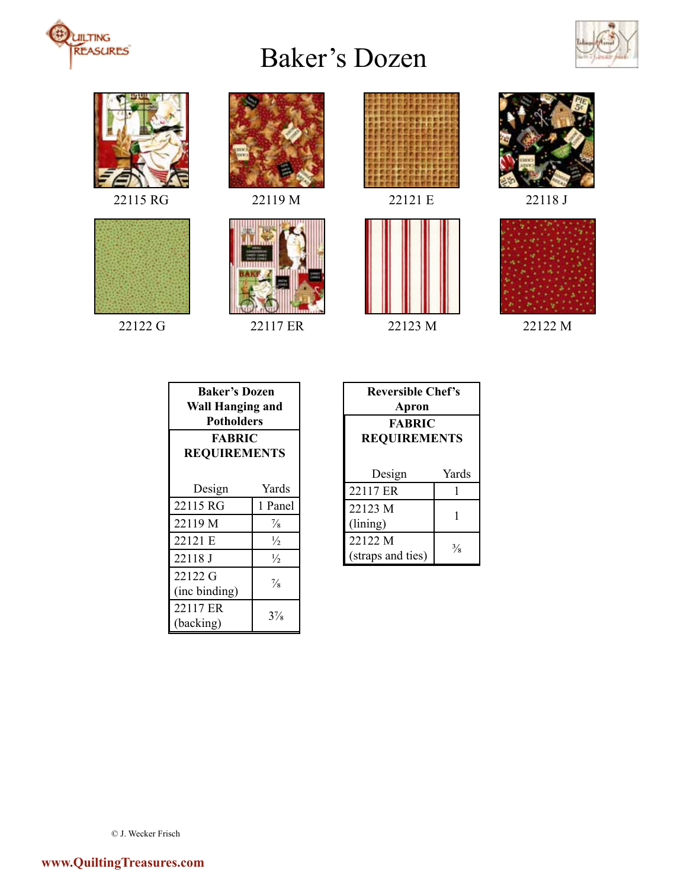



















| <b>Baker's Dozen</b><br><b>Wall Hanging and</b><br><b>Potholders</b><br><b>FABRIC</b><br><b>REQUIREMENTS</b> |                |  |
|--------------------------------------------------------------------------------------------------------------|----------------|--|
| Design                                                                                                       | Yards          |  |
| 22115 RG                                                                                                     | 1 Panel        |  |
| 22119 M                                                                                                      | $\frac{7}{8}$  |  |
| 22121 E                                                                                                      | $\frac{1}{2}$  |  |
| 22118 J                                                                                                      | $\frac{1}{2}$  |  |
| 22122 G                                                                                                      | $\frac{7}{8}$  |  |
| (inc binding)                                                                                                |                |  |
| 22117 ER<br>(backing)                                                                                        | $3\frac{7}{8}$ |  |

| <b>Reversible Chef's</b> |               |  |
|--------------------------|---------------|--|
| Apron                    |               |  |
| <b>FABRIC</b>            |               |  |
| <b>REQUIREMENTS</b>      |               |  |
|                          |               |  |
| Design                   | Yards         |  |
| 22117 ER                 |               |  |
| 22123 M                  |               |  |
| (lining)                 |               |  |
| 22122 M                  | $\frac{3}{8}$ |  |
| (straps and ties)        |               |  |

© J. Wecker Frisch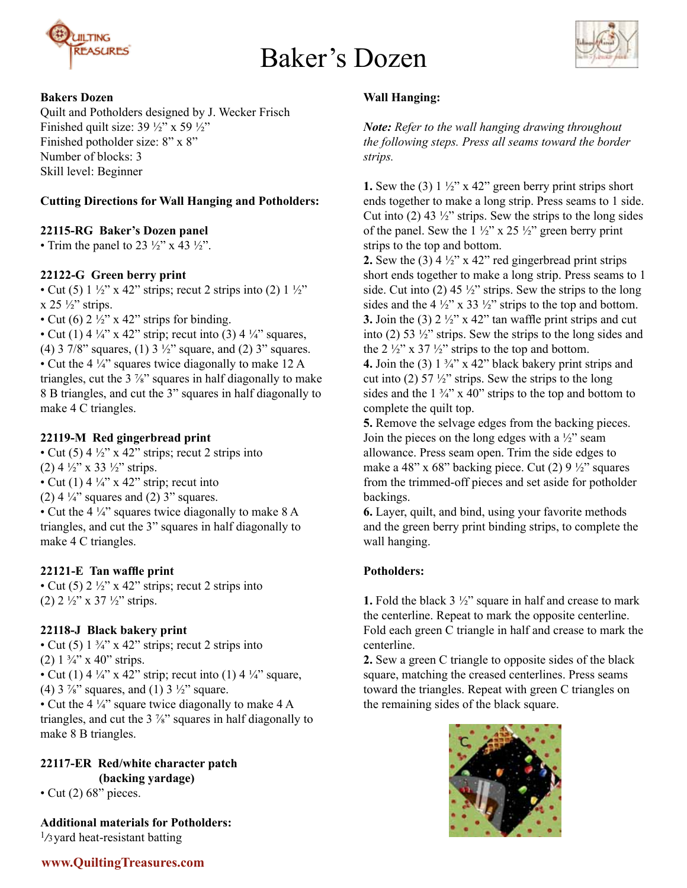



# **Bakers Dozen**

Quilt and Potholders designed by J. Wecker Frisch Finished quilt size:  $39\frac{1}{2}$ " x  $59\frac{1}{2}$ " Finished potholder size: 8" x 8" Number of blocks: 3 Skill level: Beginner

# **Cutting Directions for Wall Hanging and Potholders:**

# **22115-RG Baker's Dozen panel**

• Trim the panel to 23  $\frac{1}{2}$ " x 43  $\frac{1}{2}$ ".

# **22122-G Green berry print**

• Cut (5)  $1\frac{1}{2}$ " x 42" strips; recut 2 strips into (2)  $1\frac{1}{2}$ "  $x$  25  $\frac{1}{2}$ " strips.

• Cut (6)  $2\frac{1}{2}$ " x 42" strips for binding.

• Cut (1) 4  $\frac{1}{4}$  x 42" strip; recut into (3) 4  $\frac{1}{4}$  squares, (4) 3 7/8" squares, (1) 3  $\frac{1}{2}$ " square, and (2) 3" squares. • Cut the 4 ¼" squares twice diagonally to make 12 A triangles, cut the  $3\frac{7}{8}$  squares in half diagonally to make 8 B triangles, and cut the 3" squares in half diagonally to make 4 C triangles.

## **22119-M Red gingerbread print**

• Cut (5)  $4\frac{1}{2}$ " x 42" strips; recut 2 strips into (2)  $4\frac{1}{2}$ " x 33  $\frac{1}{2}$ " strips. • Cut (1) 4  $\frac{1}{4}$ " x 42" strip; recut into (2)  $4\frac{1}{4}$ " squares and (2) 3" squares. • Cut the 4 ¼" squares twice diagonally to make 8 A triangles, and cut the 3" squares in half diagonally to make 4 C triangles.

### **22121-E Tan waffle print**

• Cut (5)  $2\frac{1}{2}$ " x 42" strips; recut 2 strips into (2)  $2 \frac{1}{2}$ " x 37  $\frac{1}{2}$ " strips.

### **22118-J Black bakery print**

• Cut (5)  $1\frac{3}{4}$ " x 42" strips; recut 2 strips into (2)  $1\frac{3}{4}$ " x 40" strips. • Cut (1) 4  $\frac{1}{4}$ " x 42" strip; recut into (1) 4  $\frac{1}{4}$ " square, (4)  $3\frac{7}{8}$ " squares, and (1)  $3\frac{1}{2}$ " square. • Cut the 4  $\frac{1}{4}$  square twice diagonally to make 4 A triangles, and cut the 3 ⅞" squares in half diagonally to make 8 B triangles.

# **22117-ER Red/white character patch (backing yardage)**

• Cut  $(2)$  68" pieces.

**Additional materials for Potholders:**   $\frac{1}{3}$  yard heat-resistant batting

# **Wall Hanging:**

*Note: Refer to the wall hanging drawing throughout the following steps. Press all seams toward the border strips.*

**1.** Sew the (3)  $1\frac{1}{2}$  x 42" green berry print strips short ends together to make a long strip. Press seams to 1 side. Cut into  $(2)$  43  $\frac{1}{2}$ " strips. Sew the strips to the long sides of the panel. Sew the  $1\frac{1}{2}$ " x 25  $\frac{1}{2}$ " green berry print strips to the top and bottom.

**2.** Sew the (3)  $4\frac{1}{2}$  x 42" red gingerbread print strips short ends together to make a long strip. Press seams to 1 side. Cut into (2) 45  $\frac{1}{2}$ " strips. Sew the strips to the long sides and the 4  $\frac{1}{2}$ " x 33  $\frac{1}{2}$ " strips to the top and bottom. **3.** Join the (3)  $2 \frac{1}{2}$ " x 42" tan waffle print strips and cut into (2) 53 ½" strips. Sew the strips to the long sides and the 2  $\frac{1}{2}$ " x 37  $\frac{1}{2}$ " strips to the top and bottom. **4.** Join the (3)  $1\frac{3}{4}$  x 42" black bakery print strips and cut into (2) 57  $\frac{1}{2}$ " strips. Sew the strips to the long

sides and the  $1 \frac{3}{4}$ " x 40" strips to the top and bottom to complete the quilt top.

**5.** Remove the selvage edges from the backing pieces. Join the pieces on the long edges with a  $\frac{1}{2}$ " seam allowance. Press seam open. Trim the side edges to make a 48" x 68" backing piece. Cut (2)  $9\frac{1}{2}$ " squares from the trimmed-off pieces and set aside for potholder backings.

**6.** Layer, quilt, and bind, using your favorite methods and the green berry print binding strips, to complete the wall hanging.

# **Potholders:**

**1.** Fold the black 3 ½" square in half and crease to mark the centerline. Repeat to mark the opposite centerline. Fold each green C triangle in half and crease to mark the centerline.

**2.** Sew a green C triangle to opposite sides of the black square, matching the creased centerlines. Press seams toward the triangles. Repeat with green C triangles on the remaining sides of the black square.

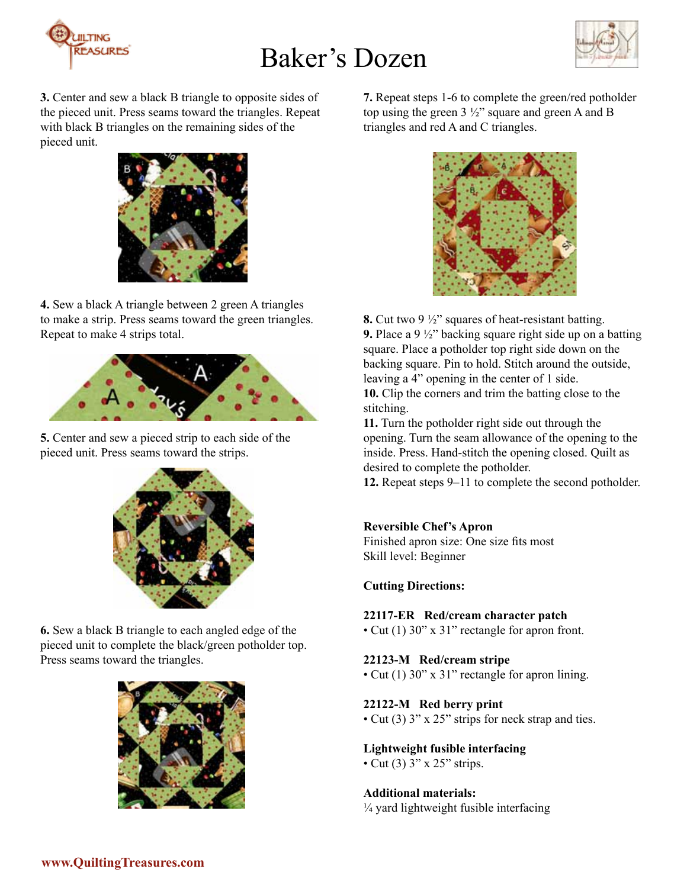



**3.** Center and sew a black B triangle to opposite sides of the pieced unit. Press seams toward the triangles. Repeat with black B triangles on the remaining sides of the pieced unit.



**4.** Sew a black A triangle between 2 green A triangles to make a strip. Press seams toward the green triangles. Repeat to make 4 strips total.



**5.** Center and sew a pieced strip to each side of the pieced unit. Press seams toward the strips.



**6.** Sew a black B triangle to each angled edge of the pieced unit to complete the black/green potholder top. Press seams toward the triangles.



**7.** Repeat steps 1-6 to complete the green/red potholder top using the green 3 ½" square and green A and B triangles and red A and C triangles.



**8.** Cut two 9 ½" squares of heat-resistant batting. **9.** Place a 9 ½" backing square right side up on a batting square. Place a potholder top right side down on the backing square. Pin to hold. Stitch around the outside, leaving a 4" opening in the center of 1 side. **10.** Clip the corners and trim the batting close to the

stitching.

**11.** Turn the potholder right side out through the opening. Turn the seam allowance of the opening to the inside. Press. Hand-stitch the opening closed. Quilt as desired to complete the potholder.

**12.** Repeat steps 9–11 to complete the second potholder.

# **Reversible Chef's Apron**

Finished apron size: One size fits most Skill level: Beginner

### **Cutting Directions:**

### **22117-ER Red/cream character patch**

• Cut (1) 30" x 31" rectangle for apron front.

### **22123-M Red/cream stripe**

• Cut (1) 30" x 31" rectangle for apron lining.

### **22122-M Red berry print**

• Cut (3) 3" x 25" strips for neck strap and ties.

### **Lightweight fusible interfacing**

• Cut (3) 3" x 25" strips.

### **Additional materials:**

¼ yard lightweight fusible interfacing